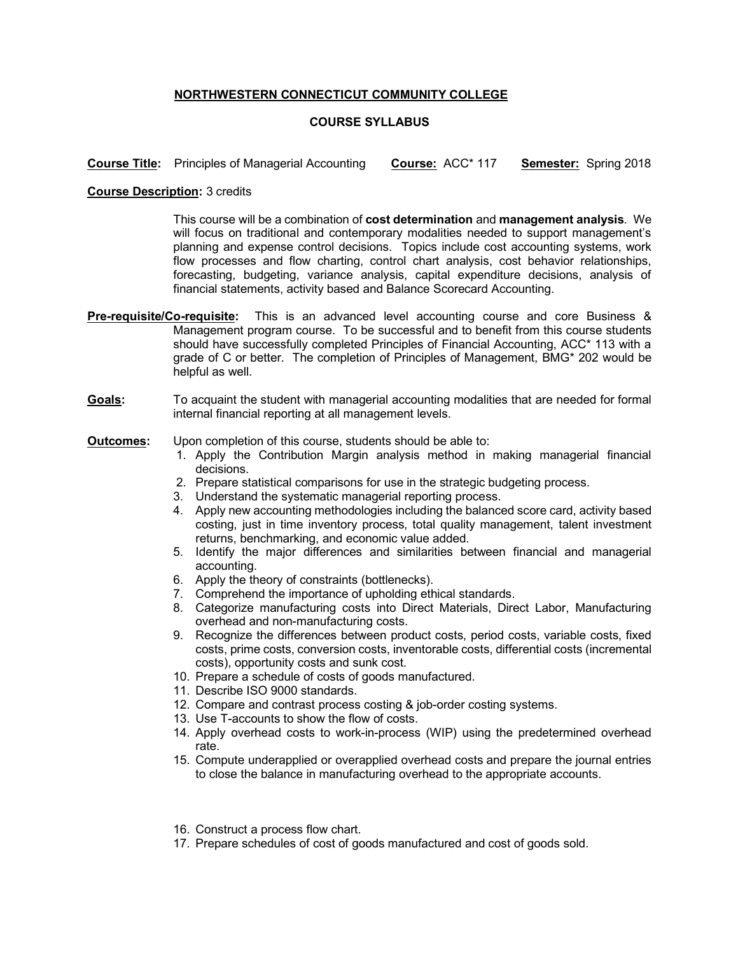## **NORTHWESTERN CONNECTICUT COMMUNITY COLLEGE**

## **COURSE SYLLABUS**

**Course Title:** Principles of Managerial Accounting **Course:** ACC\* 117 **Semester:** Spring 2018

## **Course Description:** 3 credits

This course will be a combination of **cost determination** and **management analysis**. We will focus on traditional and contemporary modalities needed to support management's planning and expense control decisions. Topics include cost accounting systems, work flow processes and flow charting, control chart analysis, cost behavior relationships, forecasting, budgeting, variance analysis, capital expenditure decisions, analysis of financial statements, activity based and Balance Scorecard Accounting.

- **Pre-requisite/Co-requisite:** This is an advanced level accounting course and core Business & Management program course. To be successful and to benefit from this course students should have successfully completed Principles of Financial Accounting, ACC\* 113 with a grade of C or better. The completion of Principles of Management, BMG\* 202 would be helpful as well.
- **Goals:** To acquaint the student with managerial accounting modalities that are needed for formal internal financial reporting at all management levels.

## **Outcomes:** Upon completion of this course, students should be able to:

- 1. Apply the Contribution Margin analysis method in making managerial financial decisions.
- 2. Prepare statistical comparisons for use in the strategic budgeting process.
- 3. Understand the systematic managerial reporting process.
- 4. Apply new accounting methodologies including the balanced score card, activity based costing, just in time inventory process, total quality management, talent investment returns, benchmarking, and economic value added.
- 5. Identify the major differences and similarities between financial and managerial accounting.
- 6. Apply the theory of constraints (bottlenecks).
- 7. Comprehend the importance of upholding ethical standards.
- 8. Categorize manufacturing costs into Direct Materials, Direct Labor, Manufacturing overhead and non-manufacturing costs.
- 9. Recognize the differences between product costs, period costs, variable costs, fixed costs, prime costs, conversion costs, inventorable costs, differential costs (incremental costs), opportunity costs and sunk cost.
- 10. Prepare a schedule of costs of goods manufactured.
- 11. Describe ISO 9000 standards.
- 12. Compare and contrast process costing & job-order costing systems.
- 13. Use T-accounts to show the flow of costs.
- 14. Apply overhead costs to work-in-process (WIP) using the predetermined overhead rate.
- 15. Compute underapplied or overapplied overhead costs and prepare the journal entries to close the balance in manufacturing overhead to the appropriate accounts.
- 16. Construct a process flow chart.
- 17. Prepare schedules of cost of goods manufactured and cost of goods sold.